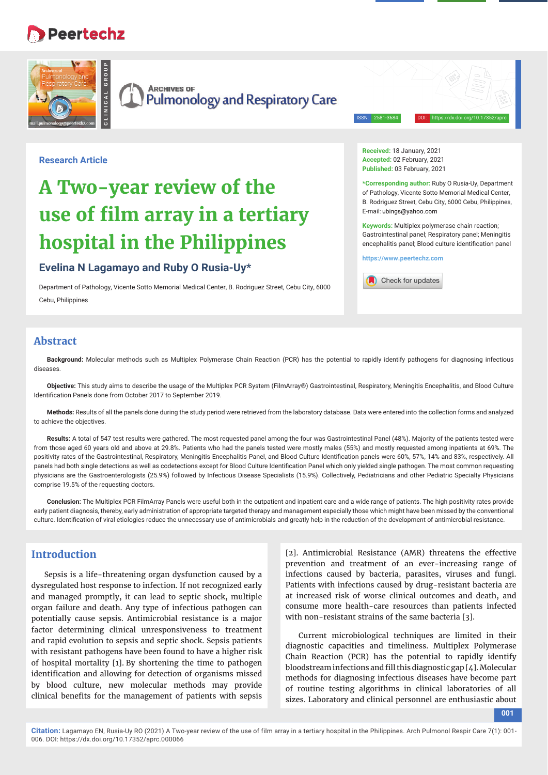# **Peertechz**



ISSN: 2581-3684 DOI: https://dx.doi.org/10.17352/aprc

#### **Research Article**

# **A Two-year review of the use of film array in a tertiary hospital in the Philippines**

# **Evelina N Lagamayo and Ruby O Rusia-Uy\***

Department of Pathology, Vicente Sotto Memorial Medical Center, B. Rodriguez Street, Cebu City, 6000 Cebu, Philippines

**Received:** 18 January, 2021 **Accepted:** 02 February, 2021 **Published:** 03 February, 2021

**\*Corresponding author:** Ruby O Rusia-Uy, Department of Pathology, Vicente Sotto Memorial Medical Center, B. Rodriguez Street, Cebu City, 6000 Cebu, Philippines, E-mail: ubings@yahoo.com

**Keywords:** Multiplex polymerase chain reaction; Gastrointestinal panel; Respiratory panel; Meningitis encephalitis panel; Blood culture identification panel

**https://www.peertechz.com**



# **Abstract**

**Background:** Molecular methods such as Multiplex Polymerase Chain Reaction (PCR) has the potential to rapidly identify pathogens for diagnosing infectious diseases.

**Objective:** This study aims to describe the usage of the Multiplex PCR System (FilmArray®) Gastrointestinal, Respiratory, Meningitis Encephalitis, and Blood Culture Identification Panels done from October 2017 to September 2019.

**Methods:** Results of all the panels done during the study period were retrieved from the laboratory database. Data were entered into the collection forms and analyzed to achieve the objectives.

**Results:** A total of 547 test results were gathered. The most requested panel among the four was Gastrointestinal Panel (48%). Majority of the patients tested were from those aged 60 years old and above at 29.8%. Patients who had the panels tested were mostly males (55%) and mostly requested among inpatients at 69%. The positivity rates of the Gastrointestinal, Respiratory, Meningitis Encephalitis Panel, and Blood Culture Identification panels were 60%, 57%, 14% and 83%, respectively. All panels had both single detections as well as codetections except for Blood Culture Identification Panel which only yielded single pathogen. The most common requesting physicians are the Gastroenterologists (25.9%) followed by Infectious Disease Specialists (15.9%). Collectively, Pediatricians and other Pediatric Specialty Physicians comprise 19.5% of the requesting doctors.

**Conclusion:** The Multiplex PCR FilmArray Panels were useful both in the outpatient and inpatient care and a wide range of patients. The high positivity rates provide early patient diagnosis, thereby, early administration of appropriate targeted therapy and management especially those which might have been missed by the conventional culture. Identification of viral etiologies reduce the unnecessary use of antimicrobials and greatly help in the reduction of the development of antimicrobial resistance.

# **Introduction**

Sepsis is a life-threatening organ dysfunction caused by a dysregulated host response to infection. If not recognized early and managed promptly, it can lead to septic shock, multiple organ failure and death. Any type of infectious pathogen can potentially cause sepsis. Antimicrobial resistance is a major factor determining clinical unresponsiveness to treatment and rapid evolution to sepsis and septic shock. Sepsis patients with resistant pathogens have been found to have a higher risk of hospital mortality [1]. By shortening the time to pathogen identification and allowing for detection of organisms missed by blood culture, new molecular methods may provide clinical benefits for the management of patients with sepsis

[2]. Antimicrobial Resistance (AMR) threatens the effective prevention and treatment of an ever-increasing range of infections caused by bacteria, parasites, viruses and fungi. Patients with infections caused by drug-resistant bacteria are at increased risk of worse clinical outcomes and death, and consume more health-care resources than patients infected with non-resistant strains of the same bacteria [3].

Current microbiological techniques are limited in their diagnostic capacities and timeliness. Multiplex Polymerase Chain Reaction (PCR) has the potential to rapidly identify bloodstream infections and fill this diagnostic gap [4]. Molecular methods for diagnosing infectious diseases have become part of routine testing algorithms in clinical laboratories of all sizes. Laboratory and clinical personnel are enthusiastic about

**001**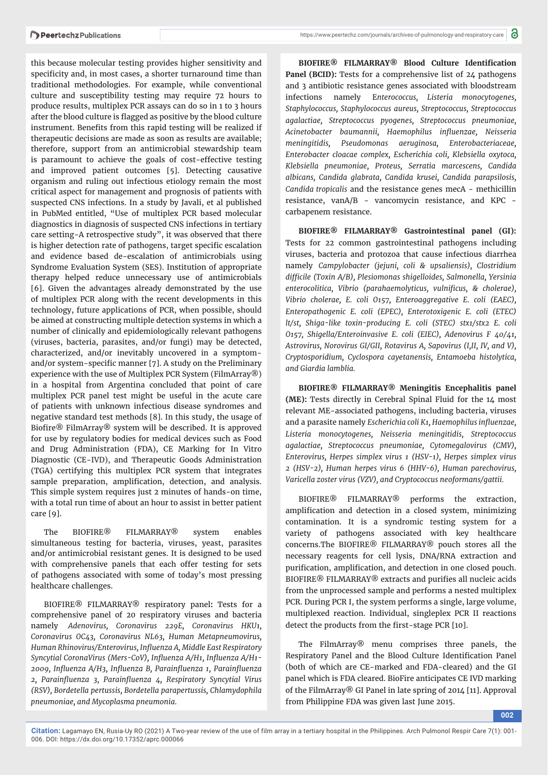this because molecular testing provides higher sensitivity and specificity and, in most cases, a shorter turnaround time than traditional methodologies. For example, while conventional culture and susceptibility testing may require 72 hours to produce results, multiplex PCR assays can do so in 1 to 3 hours after the blood culture is flagged as positive by the blood culture instrument. Benefits from this rapid testing will be realized if therapeutic decisions are made as soon as results are available; therefore, support from an antimicrobial stewardship team is paramount to achieve the goals of cost-effective testing and improved patient outcomes [5]. Detecting causative organism and ruling out infectious etiology remain the most critical aspect for management and prognosis of patients with suspected CNS infections. In a study by Javali, et al published in PubMed entitled, "Use of multiplex PCR based molecular diagnostics in diagnosis of suspected CNS infections in tertiary care setting-A retrospective study", it was observed that there is higher detection rate of pathogens, target specific escalation and evidence based de-escalation of antimicrobials using Syndrome Evaluation System (SES). Institution of appropriate therapy helped reduce unnecessary use of antimicrobials [6]. Given the advantages already demonstrated by the use of multiplex PCR along with the recent developments in this technology, future applications of PCR, when possible, should be aimed at constructing multiple detection systems in which a number of clinically and epidemiologically relevant pathogens (viruses, bacteria, parasites, and/or fungi) may be detected, characterized, and/or inevitably uncovered in a symptomand/or system-specific manner [7]. A study on the Preliminary experience with the use of Multiplex PCR System (FilmArray®) in a hospital from Argentina concluded that point of care multiplex PCR panel test might be useful in the acute care of patients with unknown infectious disease syndromes and negative standard test methods [8]. In this study, the usage of Biofire® FilmArray® system will be described. It is approved for use by regulatory bodies for medical devices such as Food and Drug Administration (FDA), CE Marking for In Vitro Diagnostic (CE-IVD), and Therapeutic Goods Administration (TGA) certifying this multiplex PCR system that integrates sample preparation, amplification, detection, and analysis. This simple system requires just 2 minutes of hands-on time, with a total run time of about an hour to assist in better patient care [9].

The BIOFIRE® FILMARRAY® system enables simultaneous testing for bacteria, viruses, yeast, parasites and/or antimicrobial resistant genes. It is designed to be used with comprehensive panels that each offer testing for sets of pathogens associated with some of today's most pressing healthcare challenges.

BIOFIRE® FILMARRAY® respiratory panel**:** Tests for a comprehensive panel of 20 respiratory viruses and bacteria namely *Adenovirus, Coronavirus 229E, Coronavirus HKU1, Coronavirus OC43, Coronavirus NL63, Human Metapneumovirus, Human Rhinovirus/Enterovirus, Infl uenza A, Middle East Respiratory Syncytial CoronaVirus (Mers-CoV), Infl uenza A/H1, Infl uenza A/H1- 2009, Infl uenza A/H3, Infl uenza B, Parainfl uenza 1, Parainfl uenza 2, Parainfl uenza 3, Parainfl uenza 4, Respiratory Syncytial Virus (RSV), Bordetella pertussis, Bordetella parapertussis, Chlamydophila pneumoniae, and Mycoplasma pneumonia.*

BIOFIRE<sup>®</sup> FILMARRAY<sup>®</sup> Blood Culture Identification Panel (BCID): Tests for a comprehensive list of 24 pathogens and 3 antibiotic resistance genes associated with bloodstream infections namely E*nterococcus, Listeria monocytogenes, Staphylococcus, Staphylococcus aureus, Streptococcus, Streptococcus agalactiae, Streptococcus pyogenes, Streptococcus pneumoniae, Acinetobacter baumannii, Haemophilus infl uenzae, Neisseria meningitidis, Pseudomonas aeruginosa, Enterobacteriaceae, Enterobacter cloacae complex, Escherichia coli, Klebsiella oxytoca, Klebsiella pneumoniae, Proteus, Serratia marcescens, Candida albicans, Candida glabrata, Candida krusei, Candida parapsilosis, Candida tropicalis* and the resistance genes mecA - methicillin resistance, vanA/B - vancomycin resistance, and KPC carbapenem resistance.

**BIOFIRE® FILMARRAY® Gastrointestinal panel (GI):** Tests for 22 common gastrointestinal pathogens including viruses, bacteria and protozoa that cause infectious diarrhea namely *Campylobacter (jejuni, coli & upsaliensis), Clostridium diffi cile (Toxin A/B), Plesiomonas shigelloides, Salmonella, Yersinia enterocolitica, Vibrio (parahaemolyticus, vulnificus, & cholerae), Vibrio cholerae, E. coli O157, Enteroaggregative E. coli (EAEC), Enteropathogenic E. coli (EPEC), Enterotoxigenic E. coli (ETEC) lt/st, Shiga-like toxin-producing E. coli (STEC) stx1/stx2 E. coli O157, Shigella/Enteroinvasive E. coli (EIEC), Adenovirus F 40/41, Astrovirus, Norovirus GI/GII, Rotavirus A, Sapovirus (I,II, IV, and V), Cryptosporidium, Cyclospora cayetanensis, Entamoeba histolytica, and Giardia lamblia.*

**BIOFIRE® FILMARRAY® Meningitis Encephalitis panel (ME):** Tests directly in Cerebral Spinal Fluid for the 14 most relevant ME-associated pathogens, including bacteria, viruses and a parasite namely *Escherichia coli K1, Haemophilus infl uenzae, Listeria monocytogenes, Neisseria meningitidis, Streptococcus agalactiae, Streptococcus pneumoniae, Cytomegalovirus (CMV), Enterovirus, Herpes simplex virus 1 (HSV-1), Herpes simplex virus 2 (HSV-2), Human herpes virus 6 (HHV-6), Human parechovirus, Varicella zoster virus (VZV), and Cryptococcus neoformans/gattii.*

BIOFIRE® FILMARRAY® performs the extraction, amplification and detection in a closed system, minimizing contamination. It is a syndromic testing system for a variety of pathogens associated with key healthcare concerns.The BIOFIRE® FILMARRAY® pouch stores all the necessary reagents for cell lysis, DNA/RNA extraction and purification, amplification, and detection in one closed pouch. BIOFIRE® FILMARRAY® extracts and purifies all nucleic acids from the unprocessed sample and performs a nested multiplex PCR. During PCR I, the system performs a single, large volume, multiplexed reaction. Individual, singleplex PCR II reactions detect the products from the first-stage PCR [10].

The FilmArray® menu comprises three panels, the Respiratory Panel and the Blood Culture Identification Panel (both of which are CE-marked and FDA-cleared) and the GI panel which is FDA cleared. BioFire anticipates CE IVD marking of the FilmArray® GI Panel in late spring of 2014 [11]. Approval from Philippine FDA was given last June 2015.

**002**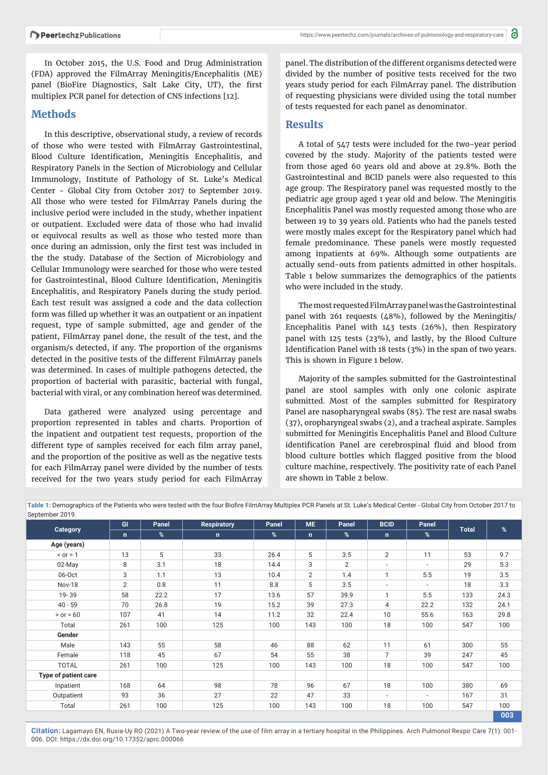In October 2015, the U.S. Food and Drug Administration (FDA) approved the FilmArray Meningitis/Encephalitis (ME) panel (BioFire Diagnostics, Salt Lake City, UT), the first multiplex PCR panel for detection of CNS infections [12].

## **Methods**

In this descriptive, observational study, a review of records of those who were tested with FilmArray Gastrointestinal, Blood Culture Identification, Meningitis Encephalitis, and Respiratory Panels in the Section of Microbiology and Cellular Immunology, Institute of Pathology of St. Luke's Medical Center - Global City from October 2017 to September 2019. All those who were tested for FilmArray Panels during the inclusive period were included in the study, whether inpatient or outpatient. Excluded were data of those who had invalid or equivocal results as well as those who tested more than once during an admission, only the first test was included in the the study. Database of the Section of Microbiology and Cellular Immunology were searched for those who were tested for Gastrointestinal, Blood Culture Identification, Meningitis Encephalitis, and Respiratory Panels during the study period. Each test result was assigned a code and the data collection form was filled up whether it was an outpatient or an inpatient request, type of sample submitted, age and gender of the patient, FilmArray panel done, the result of the test, and the organism/s detected, if any. The proportion of the organisms detected in the positive tests of the different FilmArray panels was determined. In cases of multiple pathogens detected, the proportion of bacterial with parasitic, bacterial with fungal, bacterial with viral, or any combination hereof was determined.

Data gathered were analyzed using percentage and proportion represented in tables and charts. Proportion of the inpatient and outpatient test requests, proportion of the different type of samples received for each film array panel, and the proportion of the positive as well as the negative tests for each FilmArray panel were divided by the number of tests received for the two years study period for each FilmArray

panel. The distribution of the different organisms detected were divided by the number of positive tests received for the two years study period for each FilmArray panel. The distribution of requesting physicians were divided using the total number of tests requested for each panel as denominator.

#### **Results**

A total of 547 tests were included for the two-year period covered by the study. Majority of the patients tested were from those aged 60 years old and above at 29.8%. Both the Gastrointestinal and BCID panels were also requested to this age group. The Respiratory panel was requested mostly to the pediatric age group aged 1 year old and below. The Meningitis Encephalitis Panel was mostly requested among those who are between 19 to 39 years old. Patients who had the panels tested were mostly males except for the Respiratory panel which had female predominance. These panels were mostly requested among inpatients at 69%. Although some outpatients are actually send-outs from patients admitted in other hospitals. Table 1 below summarizes the demographics of the patients who were included in the study.

The most requested FilmArray panel was the Gastrointestinal panel with 261 requests (48%), followed by the Meningitis/ Encephalitis Panel with 143 tests (26%), then Respiratory panel with 125 tests (23%), and lastly, by the Blood Culture Identification Panel with 18 tests (3%) in the span of two years. This is shown in Figure 1 below.

Majority of the samples submitted for the Gastrointestinal panel are stool samples with only one colonic aspirate submitted. Most of the samples submitted for Respiratory Panel are nasopharyngeal swabs (85). The rest are nasal swabs (37), oropharyngeal swabs (2), and a tracheal aspirate. Samples submitted for Meningitis Encephalitis Panel and Blood Culture identification Panel are cerebrospinal fluid and blood from blood culture bottles which flagged positive from the blood culture machine, respectively. The positivity rate of each Panel are shown in Table 2 below.

Table 1: Demographics of the Patients who were tested with the four Biofire FilmArray Multiplex PCR Panels at St. Luke's Medical Center - Global City from October 2017 to

| Category             | GI<br>n.       | Panel<br>$\%$ | <b>Respiratory</b><br>n. | Panel<br>% | <b>ME</b><br>n. | Panel<br>%     | <b>BCID</b><br>$\mathsf{n}$ | Panel<br>%               | <b>Total</b> | $\%$ |
|----------------------|----------------|---------------|--------------------------|------------|-----------------|----------------|-----------------------------|--------------------------|--------------|------|
|                      |                |               |                          |            |                 |                |                             |                          |              |      |
| $\le$ or = 1         | 13             | 5             | 33                       | 26.4       | 5               | 3.5            | $\overline{2}$              | 11                       | 53           | 9.7  |
| 02-May               | 8              | 3.1           | 18                       | 14.4       | 3               | $\overline{2}$ | $\overline{\phantom{a}}$    | $\overline{\phantom{a}}$ | 29           | 5.3  |
| 06-Oct               | 3              | 1.1           | 13                       | 10.4       | $\overline{2}$  | 1.4            | $\mathbf{1}$                | 5.5                      | 19           | 3.5  |
| Nov-18               | $\overline{2}$ | 0.8           | 11                       | 8.8        | 5               | 3.5            | $\overline{\phantom{a}}$    | $\overline{\phantom{a}}$ | 18           | 3.3  |
| 19-39                | 58             | 22.2          | 17                       | 13.6       | 57              | 39.9           | $\mathbf{1}$                | 5.5                      | 133          | 24.3 |
| $40 - 59$            | 70             | 26.8          | 19                       | 15.2       | 39              | 27.3           | 4                           | 22.2                     | 132          | 24.1 |
| $>$ or = 60          | 107            | 41            | 14                       | 11.2       | 32              | 22.4           | 10                          | 55.6                     | 163          | 29.8 |
| Total                | 261            | 100           | 125                      | 100        | 143             | 100            | 18                          | 100                      | 547          | 100  |
| Gender               |                |               |                          |            |                 |                |                             |                          |              |      |
| Male                 | 143            | 55            | 58                       | 46         | 88              | 62             | 11                          | 61                       | 300          | 55   |
| Female               | 118            | 45            | 67                       | 54         | 55              | 38             | $\overline{7}$              | 39                       | 247          | 45   |
| <b>TOTAL</b>         | 261            | 100           | 125                      | 100        | 143             | 100            | 18                          | 100                      | 547          | 100  |
| Type of patient care |                |               |                          |            |                 |                |                             |                          |              |      |
| Inpatient            | 168            | 64            | 98                       | 78         | 96              | 67             | 18                          | 100                      | 380          | 69   |
| Outpatient           | 93             | 36            | 27                       | 22         | 47              | 33             | $\blacksquare$              |                          | 167          | 31   |
| Total                | 261            | 100           | 125                      | 100        | 143             | 100            | 18                          | 100                      | 547          | 100  |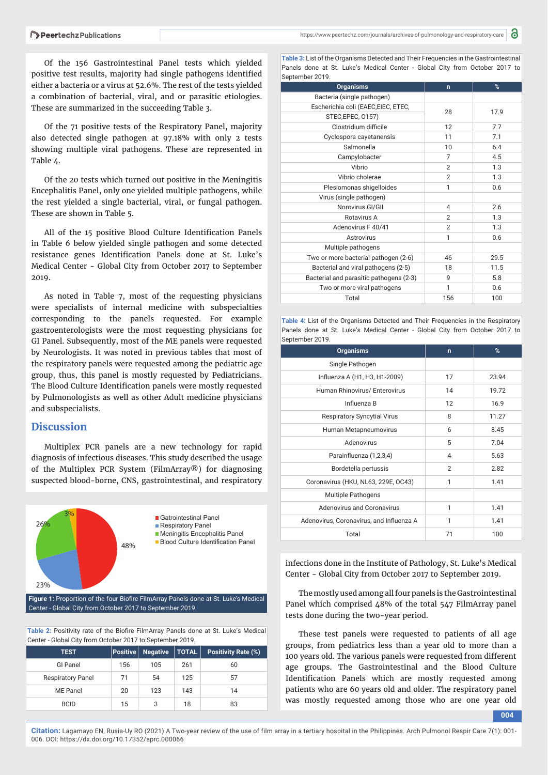Of the 156 Gastrointestinal Panel tests which yielded positive test results, majority had single pathogens identified either a bacteria or a virus at 52.6%. The rest of the tests yielded a combination of bacterial, viral, and or parasitic etiologies. These are summarized in the succeeding Table 3.

Of the 71 positive tests of the Respiratory Panel, majority also detected single pathogen at 97.18% with only 2 tests showing multiple viral pathogens. These are represented in Table 4.

Of the 20 tests which turned out positive in the Meningitis Encephalitis Panel, only one yielded multiple pathogens, while the rest yielded a single bacterial, viral, or fungal pathogen. These are shown in Table 5.

All of the 15 positive Blood Culture Identification Panels in Table 6 below yielded single pathogen and some detected resistance genes Identification Panels done at St. Luke's Medical Center - Global City from October 2017 to September 2019.

As noted in Table 7, most of the requesting physicians were specialists of internal medicine with subspecialties corresponding to the panels requested. For example gastroenterologists were the most requesting physicians for GI Panel. Subsequently, most of the ME panels were requested by Neurologists. It was noted in previous tables that most of the respiratory panels were requested among the pediatric age group, thus, this panel is mostly requested by Pediatricians. The Blood Culture Identification panels were mostly requested by Pulmonologists as well as other Adult medicine physicians and subspecialists.

### **Discussion**

Multiplex PCR panels are a new technology for rapid diagnosis of infectious diseases. This study described the usage of the Multiplex PCR System (FilmArray®) for diagnosing suspected blood-borne, CNS, gastrointestinal, and respiratory



Figure 1: Proportion of the four Biofire FilmArray Panels done at St. Luke's Medical Center - Global City from October 2017 to September 2019.

**Table 2:** Positivity rate of the Biofire FilmArray Panels done at St. Luke's Medical Center - Global City from October 2017 to September 2019.

| <b>TEST</b>              | <b>Positive</b> | <b>Negative</b> | $\mid$ TOTAL $\mid$ | <b>Positivity Rate (%)</b> |
|--------------------------|-----------------|-----------------|---------------------|----------------------------|
| <b>GI Panel</b>          | 156             | 105             | 261                 | 60                         |
| <b>Respiratory Panel</b> | 71              | 54              | 125                 | 57                         |
| ME Panel                 | 20              | 123             | 143                 | 14                         |
| <b>BCID</b>              | 15              | 3               | 18                  | 83                         |

**Table 3:** List of the Organisms Detected and Their Frequencies in the Gastrointestinal Panels done at St. Luke's Medical Center - Global City from October 2017 to September 2019

| <b>Organisms</b>                        | n              | %    |
|-----------------------------------------|----------------|------|
| Bacteria (single pathogen)              |                |      |
| Escherichia coli (EAEC,EIEC, ETEC,      | 28             | 17.9 |
| STEC, EPEC, 0157)                       |                |      |
| Clostridium difficile                   | 12             | 7.7  |
| Cyclospora cayetanensis                 | 11             | 7.1  |
| Salmonella                              | 10             | 6.4  |
| Campylobacter                           | $\overline{7}$ | 4.5  |
| Vibrio                                  | $\overline{2}$ | 1.3  |
| Vibrio cholerae                         | $\overline{2}$ | 1.3  |
| Plesiomonas shigelloides                | 1              | 0.6  |
| Virus (single pathogen)                 |                |      |
| Norovirus GI/GII                        | 4              | 2.6  |
| Rotavirus A                             | $\mathbf{2}$   | 1.3  |
| Adenovirus F 40/41                      | $\overline{2}$ | 1.3  |
| Astrovirus                              | 1              | 0.6  |
| Multiple pathogens                      |                |      |
| Two or more bacterial pathogen (2-6)    | 46             | 29.5 |
| Bacterial and viral pathogens (2-5)     | 18             | 11.5 |
| Bacterial and parasitic pathogens (2-3) | 9              | 5.8  |
| Two or more viral pathogens             | 1              | 0.6  |
| Total                                   | 156            | 100  |

**Table 4:** List of the Organisms Detected and Their Frequencies in the Respiratory Panels done at St. Luke's Medical Center - Global City from October 2017 to September 2019.

| <b>Organisms</b>                         | $\mathbf n$    | %     |
|------------------------------------------|----------------|-------|
| Single Pathogen                          |                |       |
| Influenza A (H1, H3, H1-2009)            | 17             | 23.94 |
| Human Rhinovirus/ Enterovirus            | 14             | 19.72 |
| Influenza B                              | 12             | 16.9  |
| <b>Respiratory Syncytial Virus</b>       | 8              | 11.27 |
| Human Metapneumovirus                    | 6              | 8.45  |
| Adenovirus                               | 5              | 7.04  |
| Parainfluenza (1,2,3,4)                  | $\overline{4}$ | 5.63  |
| Bordetella pertussis                     | $\overline{2}$ | 2.82  |
| Coronavirus (HKU, NL63, 229E, OC43)      | 1              | 1.41  |
| <b>Multiple Pathogens</b>                |                |       |
| Adenovirus and Coronavirus               | 1              | 1.41  |
| Adenovirus, Coronavirus, and Influenza A | 1              | 1.41  |
| Total                                    | 71             | 100   |

infections done in the Institute of Pathology, St. Luke's Medical Center - Global City from October 2017 to September 2019.

The mostly used among all four panels is the Gastrointestinal Panel which comprised 48% of the total 547 FilmArray panel tests done during the two-year period.

These test panels were requested to patients of all age groups, from pediatrics less than a year old to more than a 100 years old. The various panels were requested from different age groups. The Gastrointestinal and the Blood Culture Identification Panels which are mostly requested among patients who are 60 years old and older. The respiratory panel was mostly requested among those who are one year old

**004**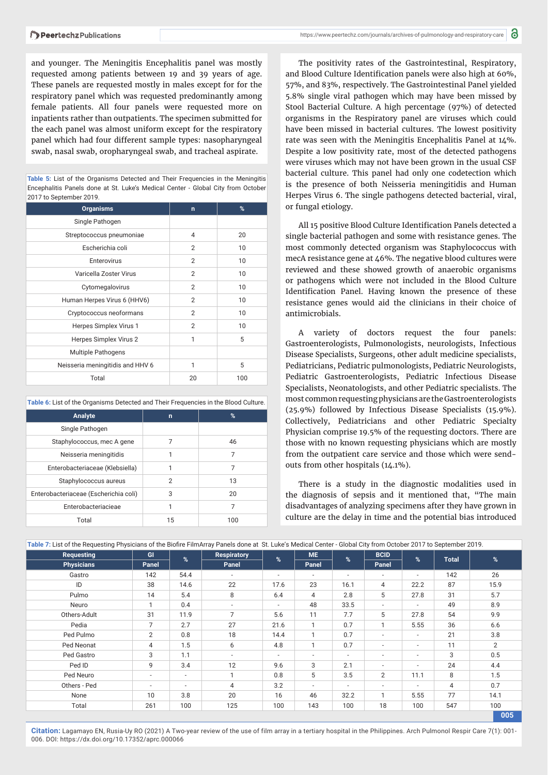and younger. The Meningitis Encephalitis panel was mostly requested among patients between 19 and 39 years of age. These panels are requested mostly in males except for for the respiratory panel which was requested predominantly among female patients. All four panels were requested more on inpatients rather than outpatients. The specimen submitted for the each panel was almost uniform except for the respiratory panel which had four different sample types: nasopharyngeal swab, nasal swab, oropharyngeal swab, and tracheal aspirate.

**Table 5:** List of the Organisms Detected and Their Frequencies in the Meningitis Encephalitis Panels done at St. Luke's Medical Center - Global City from October 2017 to September 2019.

| <b>Organisms</b>                 | n              | %   |
|----------------------------------|----------------|-----|
| Single Pathogen                  |                |     |
| Streptococcus pneumoniae         | $\overline{4}$ | 20  |
| Escherichia coli                 | $\overline{2}$ | 10  |
| Enterovirus                      | $\overline{2}$ | 10  |
| Varicella Zoster Virus           | $\overline{2}$ | 10  |
| Cytomegalovirus                  | $\overline{2}$ | 10  |
| Human Herpes Virus 6 (HHV6)      | 2              | 10  |
| Cryptococcus neoformans          | $\overline{2}$ | 10  |
| Herpes Simplex Virus 1           | $\overline{2}$ | 10  |
| Herpes Simplex Virus 2           | 1              | 5   |
| <b>Multiple Pathogens</b>        |                |     |
| Neisseria meningitidis and HHV 6 | 1              | 5   |
| Total                            | 20             | 100 |

**Table 6:** List of the Organisms Detected and Their Frequencies in the Blood Culture.

| Analyte                               | n  | $\%$ |
|---------------------------------------|----|------|
| Single Pathogen                       |    |      |
| Staphylococcus, mec A gene            |    | 46   |
| Neisseria meningitidis                | 1  |      |
| Enterobacteriaceae (Klebsiella)       |    |      |
| Staphylococcus aureus                 | 2  | 13   |
| Enterobacteriaceae (Escherichia coli) | 3  | 20   |
| Enterobacteriacieae                   |    |      |
| Total                                 | 15 | 100  |

The positivity rates of the Gastrointestinal, Respiratory, and Blood Culture Identification panels were also high at 60%, 57%, and 83%, respectively. The Gastrointestinal Panel yielded 5.8% single viral pathogen which may have been missed by Stool Bacterial Culture. A high percentage (97%) of detected organisms in the Respiratory panel are viruses which could have been missed in bacterial cultures. The lowest positivity rate was seen with the Meningitis Encephalitis Panel at 14%. Despite a low positivity rate, most of the detected pathogens were viruses which may not have been grown in the usual CSF bacterial culture. This panel had only one codetection which is the presence of both Neisseria meningitidis and Human Herpes Virus 6. The single pathogens detected bacterial, viral, or fungal etiology.

All 15 positive Blood Culture Identification Panels detected a single bacterial pathogen and some with resistance genes. The most commonly detected organism was Staphylococcus with mecA resistance gene at 46%. The negative blood cultures were reviewed and these showed growth of anaerobic organisms or pathogens which were not included in the Blood Culture Identification Panel. Having known the presence of these resistance genes would aid the clinicians in their choice of antimicrobials.

A variety of doctors request the four panels: Gastroenterologists, Pulmonologists, neurologists, Infectious Disease Specialists, Surgeons, other adult medicine specialists, Pediatricians, Pediatric pulmonologists, Pediatric Neurologists, Pediatric Gastroenterologists, Pediatric Infectious Disease Specialists, Neonatologists, and other Pediatric specialists. The most common requesting physicians are the Gastroenterologists (25.9%) followed by Infectious Disease Specialists (15.9%). Collectively, Pediatricians and other Pediatric Specialty Physician comprise 19.5% of the requesting doctors. There are those with no known requesting physicians which are mostly from the outpatient care service and those which were sendouts from other hospitals (14.1%).

There is a study in the diagnostic modalities used in the diagnosis of sepsis and it mentioned that, "The main disadvantages of analyzing specimens after they have grown in culture are the delay in time and the potential bias introduced

| Requesting<br><b>Physicians</b> | GI                       | $\frac{9}{6}$            | <b>Respiratory</b><br>Panel | %                        | <b>ME</b><br>Panel       | %                        | <b>BCID</b><br>Panel     | %    |              | %    |
|---------------------------------|--------------------------|--------------------------|-----------------------------|--------------------------|--------------------------|--------------------------|--------------------------|------|--------------|------|
|                                 | Panel                    |                          |                             |                          |                          |                          |                          |      | <b>Total</b> |      |
| Gastro                          | 142                      | 54.4                     | $\overline{\phantom{a}}$    | ٠                        | $\sim$                   | $\overline{\phantom{a}}$ | $\overline{\phantom{a}}$ | ٠    | 142          | 26   |
| ID                              | 38                       | 14.6                     | 22                          | 17.6                     | 23                       | 16.1                     | 4                        | 22.2 | 87           | 15.9 |
| Pulmo                           | 14                       | 5.4                      | 8                           | 6.4                      | 4                        | 2.8                      | 5                        | 27.8 | 31           | 5.7  |
| Neuro                           |                          | 0.4                      | $\overline{\phantom{a}}$    | $\overline{\phantom{a}}$ | 48                       | 33.5                     | ۰.                       | ٠    | 49           | 8.9  |
| Others-Adult                    | 31                       | 11.9                     | $\overline{7}$              | 5.6                      | 11                       | 7.7                      | 5                        | 27.8 | 54           | 9.9  |
| Pedia                           | 7                        | 2.7                      | 27                          | 21.6                     | 1                        | 0.7                      |                          | 5.55 | 36           | 6.6  |
| Ped Pulmo                       | $\overline{2}$           | 0.8                      | 18                          | 14.4                     | 1                        | 0.7                      | ٠                        | ٠    | 21           | 3.8  |
| Ped Neonat                      | 4                        | 1.5                      | 6                           | 4.8                      | $\mathbf{1}$             | 0.7                      | $\overline{\phantom{a}}$ | ٠    | 11           | 2    |
| Ped Gastro                      | 3                        | 1.1                      | $\overline{\phantom{a}}$    | $\overline{\phantom{a}}$ | ٠                        | $\overline{\phantom{a}}$ |                          | ۰    | 3            | 0.5  |
| Ped ID                          | 9                        | 3.4                      | 12                          | 9.6                      | 3                        | 2.1                      | ۰                        | ۰    | 24           | 4.4  |
| Ped Neuro                       | $\overline{\phantom{a}}$ | $\overline{\phantom{a}}$ |                             | 0.8                      | 5                        | 3.5                      | $\overline{2}$           | 11.1 | 8            | 1.5  |
| Others - Ped                    | $\sim$                   | $\overline{\phantom{a}}$ | 4                           | 3.2                      | $\overline{\phantom{0}}$ | $\overline{\phantom{a}}$ | $\overline{\phantom{a}}$ | ٠    | 4            | 0.7  |
| None                            | 10                       | 3.8                      | 20                          | 16                       | 46                       | 32.2                     |                          | 5.55 | 77           | 14.1 |
| Total                           | 261                      | 100                      | 125                         | 100                      | 143                      | 100                      | 18                       | 100  | 547          | 100  |